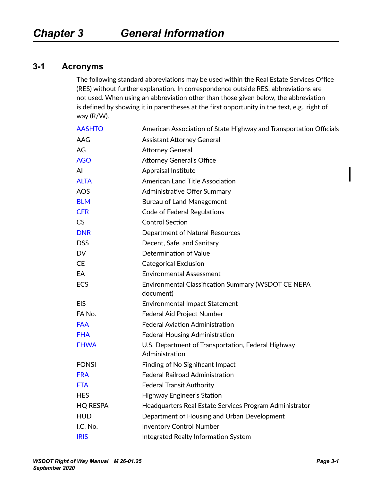### **3-1 Acronyms**

The following standard abbreviations may be used within the Real Estate Services Office (RES) without further explanation. In correspondence outside RES, abbreviations are not used. When using an abbreviation other than those given below, the abbreviation is defined by showing it in parentheses at the first opportunity in the text, e.g., right of way (R/W).

| <b>AASHTO</b>   | American Association of State Highway and Transportation Officials   |
|-----------------|----------------------------------------------------------------------|
| AAG             | <b>Assistant Attorney General</b>                                    |
| AG              | <b>Attorney General</b>                                              |
| <b>AGO</b>      | <b>Attorney General's Office</b>                                     |
| AI              | Appraisal Institute                                                  |
| <b>ALTA</b>     | <b>American Land Title Association</b>                               |
| <b>AOS</b>      | Administrative Offer Summary                                         |
| <b>BLM</b>      | <b>Bureau of Land Management</b>                                     |
| <b>CFR</b>      | <b>Code of Federal Regulations</b>                                   |
| <b>CS</b>       | <b>Control Section</b>                                               |
| <b>DNR</b>      | <b>Department of Natural Resources</b>                               |
| <b>DSS</b>      | Decent, Safe, and Sanitary                                           |
| <b>DV</b>       | Determination of Value                                               |
| <b>CE</b>       | <b>Categorical Exclusion</b>                                         |
| EA              | <b>Environmental Assessment</b>                                      |
| ECS             | Environmental Classification Summary (WSDOT CE NEPA<br>document)     |
| <b>EIS</b>      | <b>Environmental Impact Statement</b>                                |
| FA No.          | <b>Federal Aid Project Number</b>                                    |
| <b>FAA</b>      | <b>Federal Aviation Administration</b>                               |
| <b>FHA</b>      | Federal Housing Administration                                       |
| <b>FHWA</b>     | U.S. Department of Transportation, Federal Highway<br>Administration |
| <b>FONSI</b>    | Finding of No Significant Impact                                     |
| <b>FRA</b>      | <b>Federal Railroad Administration</b>                               |
| <b>FTA</b>      | <b>Federal Transit Authority</b>                                     |
| <b>HES</b>      | Highway Engineer's Station                                           |
| <b>HQ RESPA</b> | Headquarters Real Estate Services Program Administrator              |
| <b>HUD</b>      | Department of Housing and Urban Development                          |
| I.C. No.        | <b>Inventory Control Number</b>                                      |
| <b>IRIS</b>     | Integrated Realty Information System                                 |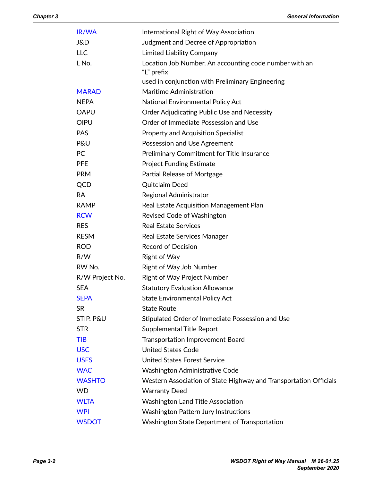| IR/WA           | International Right of Way Association                               |
|-----------------|----------------------------------------------------------------------|
| J&D             | Judgment and Decree of Appropriation                                 |
| <b>LLC</b>      | <b>Limited Liability Company</b>                                     |
| L No.           | Location Job Number. An accounting code number with an<br>"L" prefix |
|                 | used in conjunction with Preliminary Engineering                     |
| <b>MARAD</b>    | Maritime Administration                                              |
| <b>NEPA</b>     | National Environmental Policy Act                                    |
| <b>OAPU</b>     | Order Adjudicating Public Use and Necessity                          |
| <b>OIPU</b>     | Order of Immediate Possession and Use                                |
| <b>PAS</b>      | <b>Property and Acquisition Specialist</b>                           |
| <b>P&amp;U</b>  | Possession and Use Agreement                                         |
| PC              | <b>Preliminary Commitment for Title Insurance</b>                    |
| <b>PFE</b>      | <b>Project Funding Estimate</b>                                      |
| <b>PRM</b>      | Partial Release of Mortgage                                          |
| QCD             | Quitclaim Deed                                                       |
| <b>RA</b>       | Regional Administrator                                               |
| <b>RAMP</b>     | Real Estate Acquisition Management Plan                              |
| <b>RCW</b>      | Revised Code of Washington                                           |
| <b>RES</b>      | <b>Real Estate Services</b>                                          |
| <b>RESM</b>     | Real Estate Services Manager                                         |
| <b>ROD</b>      | <b>Record of Decision</b>                                            |
| R/W             | <b>Right of Way</b>                                                  |
| RW No.          | Right of Way Job Number                                              |
| R/W Project No. | <b>Right of Way Project Number</b>                                   |
| <b>SEA</b>      | <b>Statutory Evaluation Allowance</b>                                |
| <b>SEPA</b>     | <b>State Environmental Policy Act</b>                                |
| <b>SR</b>       | <b>State Route</b>                                                   |
| STIP. P&U       | Stipulated Order of Immediate Possession and Use                     |
| <b>STR</b>      | <b>Supplemental Title Report</b>                                     |
| <b>TIB</b>      | <b>Transportation Improvement Board</b>                              |
| <b>USC</b>      | <b>United States Code</b>                                            |
| <b>USFS</b>     | <b>United States Forest Service</b>                                  |
| <b>WAC</b>      | Washington Administrative Code                                       |
| <b>WASHTO</b>   | Western Association of State Highway and Transportation Officials    |
| WD.             | <b>Warranty Deed</b>                                                 |
| <b>WLTA</b>     | <b>Washington Land Title Association</b>                             |
| <b>WPI</b>      | <b>Washington Pattern Jury Instructions</b>                          |
| <b>WSDOT</b>    | Washington State Department of Transportation                        |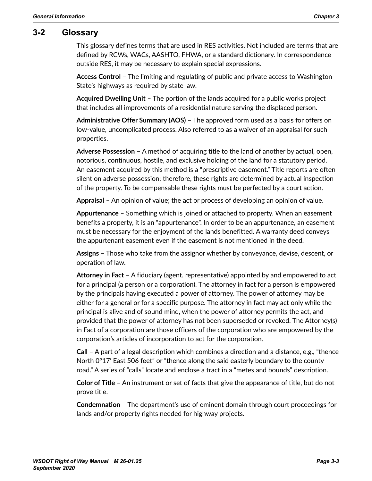### **3-2 Glossary**

This glossary defines terms that are used in RES activities. Not included are terms that are defined by RCWs, WACs, AASHTO, FHWA, or a standard dictionary. In correspondence outside RES, it may be necessary to explain special expressions.

**Access Control** – The limiting and regulating of public and private access to Washington State's highways as required by state law.

**Acquired Dwelling Unit** – The portion of the lands acquired for a public works project that includes all improvements of a residential nature serving the displaced person.

**Administrative Offer Summary (AOS)** – The approved form used as a basis for offers on low-value, uncomplicated process. Also referred to as a waiver of an appraisal for such properties.

**Adverse Possession** – A method of acquiring title to the land of another by actual, open, notorious, continuous, hostile, and exclusive holding of the land for a statutory period. An easement acquired by this method is a "prescriptive easement." Title reports are often silent on adverse possession; therefore, these rights are determined by actual inspection of the property. To be compensable these rights must be perfected by a court action.

**Appraisal** – An opinion of value; the act or process of developing an opinion of value.

**Appurtenance** – Something which is joined or attached to property. When an easement benefits a property, it is an "appurtenance". In order to be an appurtenance, an easement must be necessary for the enjoyment of the lands benefitted. A warranty deed conveys the appurtenant easement even if the easement is not mentioned in the deed.

**Assigns** – Those who take from the assignor whether by conveyance, devise, descent, or operation of law.

**Attorney in Fact** – A fiduciary (agent, representative) appointed by and empowered to act for a principal (a person or a corporation). The attorney in fact for a person is empowered by the principals having executed a power of attorney. The power of attorney may be either for a general or for a specific purpose. The attorney in fact may act only while the principal is alive and of sound mind, when the power of attorney permits the act, and provided that the power of attorney has not been superseded or revoked. The Attorney(s) in Fact of a corporation are those officers of the corporation who are empowered by the corporation's articles of incorporation to act for the corporation.

**Call** – A part of a legal description which combines a direction and a distance, e.g., "thence North 0°17' East 506 feet" or "thence along the said easterly boundary to the county road." A series of "calls" locate and enclose a tract in a "metes and bounds" description.

**Color of Title** – An instrument or set of facts that give the appearance of title, but do not prove title.

**Condemnation** – The department's use of eminent domain through court proceedings for lands and/or property rights needed for highway projects.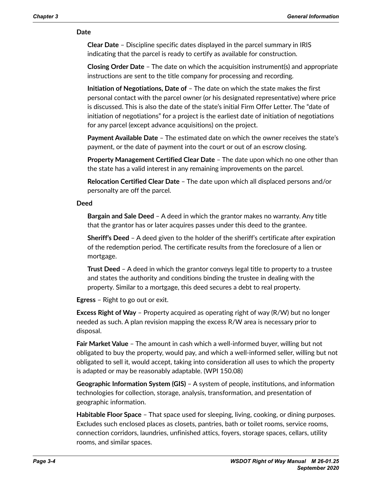#### **Date**

**Clear Date** – Discipline specific dates displayed in the parcel summary in IRIS indicating that the parcel is ready to certify as available for construction.

**Closing Order Date** – The date on which the acquisition instrument(s) and appropriate instructions are sent to the title company for processing and recording.

**Initiation of Negotiations, Date of** – The date on which the state makes the first personal contact with the parcel owner (or his designated representative) where price is discussed. This is also the date of the state's initial Firm Offer Letter. The "date of initiation of negotiations" for a project is the earliest date of initiation of negotiations for any parcel (except advance acquisitions) on the project.

**Payment Available Date** – The estimated date on which the owner receives the state's payment, or the date of payment into the court or out of an escrow closing.

**Property Management Certified Clear Date** – The date upon which no one other than the state has a valid interest in any remaining improvements on the parcel.

**Relocation Certified Clear Date** – The date upon which all displaced persons and/or personalty are off the parcel.

#### **Deed**

**Bargain and Sale Deed** – A deed in which the grantor makes no warranty. Any title that the grantor has or later acquires passes under this deed to the grantee.

**Sheriff's Deed** – A deed given to the holder of the sheriff's certificate after expiration of the redemption period. The certificate results from the foreclosure of a lien or mortgage.

**Trust Deed** – A deed in which the grantor conveys legal title to property to a trustee and states the authority and conditions binding the trustee in dealing with the property. Similar to a mortgage, this deed secures a debt to real property.

**Egress** – Right to go out or exit.

**Excess Right of Way** – Property acquired as operating right of way (R/W) but no longer needed as such. A plan revision mapping the excess R/W area is necessary prior to disposal.

**Fair Market Value** – The amount in cash which a well-informed buyer, willing but not obligated to buy the property, would pay, and which a well-informed seller, willing but not obligated to sell it, would accept, taking into consideration all uses to which the property is adapted or may be reasonably adaptable. (WPI 150.08)

**Geographic Information System (GIS)** – A system of people, institutions, and information technologies for collection, storage, analysis, transformation, and presentation of geographic information.

**Habitable Floor Space** – That space used for sleeping, living, cooking, or dining purposes. Excludes such enclosed places as closets, pantries, bath or toilet rooms, service rooms, connection corridors, laundries, unfinished attics, foyers, storage spaces, cellars, utility rooms, and similar spaces.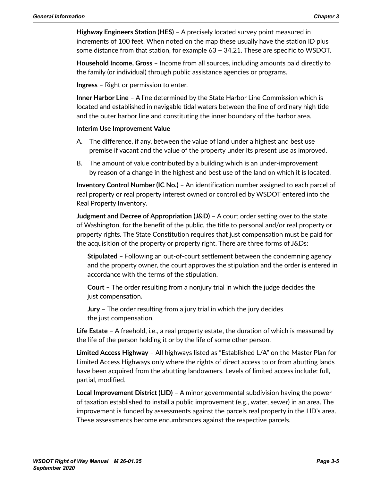**Highway Engineers Station (HES)** – A precisely located survey point measured in increments of 100 feet. When noted on the map these usually have the station ID plus some distance from that station, for example 63 + 34.21. These are specific to WSDOT.

**Household Income, Gross** – Income from all sources, including amounts paid directly to the family (or individual) through public assistance agencies or programs.

**Ingress** – Right or permission to enter.

**Inner Harbor Line** – A line determined by the State Harbor Line Commission which is located and established in navigable tidal waters between the line of ordinary high tide and the outer harbor line and constituting the inner boundary of the harbor area.

### **Interim Use Improvement Value**

- A. The difference, if any, between the value of land under a highest and best use premise if vacant and the value of the property under its present use as improved.
- B. The amount of value contributed by a building which is an under-improvement by reason of a change in the highest and best use of the land on which it is located.

**Inventory Control Number (IC No.)** – An identification number assigned to each parcel of real property or real property interest owned or controlled by WSDOT entered into the Real Property Inventory.

**Judgment and Decree of Appropriation (J&D)** – A court order setting over to the state of Washington, for the benefit of the public, the title to personal and/or real property or property rights. The State Constitution requires that just compensation must be paid for the acquisition of the property or property right. There are three forms of J&Ds:

**Stipulated** – Following an out-of-court settlement between the condemning agency and the property owner, the court approves the stipulation and the order is entered in accordance with the terms of the stipulation.

**Court** – The order resulting from a nonjury trial in which the judge decides the just compensation.

**Jury** – The order resulting from a jury trial in which the jury decides the just compensation.

**Life Estate** – A freehold, i.e., a real property estate, the duration of which is measured by the life of the person holding it or by the life of some other person.

**Limited Access Highway** – All highways listed as "Established L/A" on the Master Plan for Limited Access Highways only where the rights of direct access to or from abutting lands have been acquired from the abutting landowners. Levels of limited access include: full, partial, modified.

**Local Improvement District (LID)** – A minor governmental subdivision having the power of taxation established to install a public improvement (e.g., water, sewer) in an area. The improvement is funded by assessments against the parcels real property in the LlD's area. These assessments become encumbrances against the respective parcels.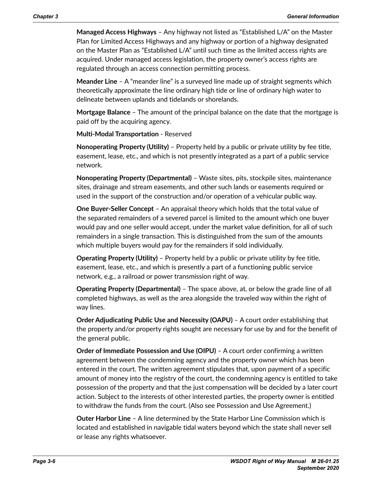**Managed Access Highways** – Any highway not listed as "Established L/A" on the Master Plan for Limited Access Highways and any highway or portion of a highway designated on the Master Plan as "Established L/A" until such time as the limited access rights are acquired. Under managed access legislation, the property owner's access rights are regulated through an access connection permitting process.

**Meander Line** – A "meander line" is a surveyed line made up of straight segments which theoretically approximate the line ordinary high tide or line of ordinary high water to delineate between uplands and tidelands or shorelands.

**Mortgage Balance** – The amount of the principal balance on the date that the mortgage is paid off by the acquiring agency.

**Multi-Modal Transportation** - Reserved

**Nonoperating Property (Utility)** – Property held by a public or private utility by fee title, easement, lease, etc., and which is not presently integrated as a part of a public service network.

**Nonoperating Property (Departmental)** – Waste sites, pits, stockpile sites, maintenance sites, drainage and stream easements, and other such lands or easements required or used in the support of the construction and/or operation of a vehicular public way.

**One Buyer-Seller Concept** – An appraisal theory which holds that the total value of the separated remainders of a severed parcel is limited to the amount which one buyer would pay and one seller would accept, under the market value definition, for all of such remainders in a single transaction. This is distinguished from the sum of the amounts which multiple buyers would pay for the remainders if sold individually.

**Operating Property (Utility)** – Property held by a public or private utility by fee title, easement, lease, etc., and which is presently a part of a functioning public service network, e.g., a railroad or power transmission right of way.

**Operating Property (Departmental)** – The space above, at, or below the grade line of all completed highways, as well as the area alongside the traveled way within the right of way lines.

**Order Adjudicating Public Use and Necessity (OAPU)** – A court order establishing that the property and/or property rights sought are necessary for use by and for the benefit of the general public.

**Order of Immediate Possession and Use (OIPU)** – A court order confirming a written agreement between the condemning agency and the property owner which has been entered in the court. The written agreement stipulates that, upon payment of a specific amount of money into the registry of the court, the condemning agency is entitled to take possession of the property and that the just compensation will be decided by a later court action. Subject to the interests of other interested parties, the property owner is entitled to withdraw the funds from the court. (Also see Possession and Use Agreement.)

**Outer Harbor Line** – A line determined by the State Harbor Line Commission which is located and established in navigable tidal waters beyond which the state shall never sell or lease any rights whatsoever.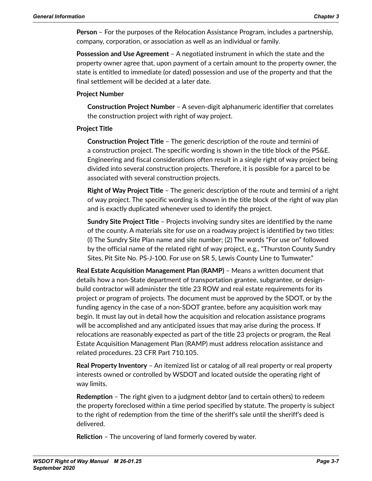**Person** – For the purposes of the Relocation Assistance Program, includes a partnership, company, corporation, or association as well as an individual or family.

**Possession and Use Agreement** – A negotiated instrument in which the state and the property owner agree that, upon payment of a certain amount to the property owner, the state is entitled to immediate (or dated) possession and use of the property and that the final settlement will be decided at a later date.

### **Project Number**

**Construction Project Number** – A seven-digit alphanumeric identifier that correlates the construction project with right of way project.

### **Project Title**

**Construction Project Title** – The generic description of the route and termini of a construction project. The specific wording is shown in the title block of the PS&E. Engineering and fiscal considerations often result in a single right of way project being divided into several construction projects. Therefore, it is possible for a parcel to be associated with several construction projects.

**Right of Way Project Title** – The generic description of the route and termini of a right of way project. The specific wording is shown in the title block of the right of way plan and is exactly duplicated whenever used to identify the project.

**Sundry Site Project Title** – Projects involving sundry sites are identified by the name of the county. A materials site for use on a roadway project is identified by two titles: (l) The Sundry Site Plan name and site number; (2) The words "For use on" followed by the official name of the related right of way project, e.g., "Thurston County Sundry Sites, Pit Site No. PS‑J-100. For use on SR 5, Lewis County Line to Tumwater."

**Real Estate Acquisition Management Plan (RAMP)** – Means a written document that details how a non-State department of transportation grantee, subgrantee, or designbuild contractor will administer the title 23 ROW and real estate requirements for its project or program of projects. The document must be approved by the SDOT, or by the funding agency in the case of a non-SDOT grantee, before any acquisition work may begin. It must lay out in detail how the acquisition and relocation assistance programs will be accomplished and any anticipated issues that may arise during the process. If relocations are reasonably expected as part of the title 23 projects or program, the Real Estate Acquisition Management Plan (RAMP) must address relocation assistance and related procedures. 23 CFR Part 710.105.

**Real Property Inventory** – An itemized list or catalog of all real property or real property interests owned or controlled by WSDOT and located outside the operating right of way limits.

**Redemption** – The right given to a judgment debtor (and to certain others) to redeem the property foreclosed within a time period specified by statute. The property is subject to the right of redemption from the time of the sheriff's sale until the sheriff's deed is delivered.

**Reliction** – The uncovering of land formerly covered by water.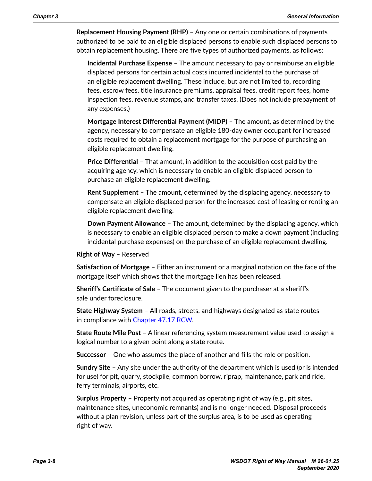**Replacement Housing Payment (RHP)** – Any one or certain combinations of payments authorized to be paid to an eligible displaced persons to enable such displaced persons to obtain replacement housing. There are five types of authorized payments, as follows:

**Incidental Purchase Expense** – The amount necessary to pay or reimburse an eligible displaced persons for certain actual costs incurred incidental to the purchase of an eligible replacement dwelling. These include, but are not limited to, recording fees, escrow fees, title insurance premiums, appraisal fees, credit report fees, home inspection fees, revenue stamps, and transfer taxes. (Does not include prepayment of any expenses.)

**Mortgage Interest Differential Payment (MIDP)** – The amount, as determined by the agency, necessary to compensate an eligible 180-day owner occupant for increased costs required to obtain a replacement mortgage for the purpose of purchasing an eligible replacement dwelling.

**Price Differential** – That amount, in addition to the acquisition cost paid by the acquiring agency, which is necessary to enable an eligible displaced person to purchase an eligible replacement dwelling.

**Rent Supplement** – The amount, determined by the displacing agency, necessary to compensate an eligible displaced person for the increased cost of leasing or renting an eligible replacement dwelling.

**Down Payment Allowance** – The amount, determined by the displacing agency, which is necessary to enable an eligible displaced person to make a down payment (including incidental purchase expenses) on the purchase of an eligible replacement dwelling.

#### **Right of Way** – Reserved

**Satisfaction of Mortgage** – Either an instrument or a marginal notation on the face of the mortgage itself which shows that the mortgage lien has been released.

**Sheriff's Certificate of Sale** – The document given to the purchaser at a sheriff's sale under foreclosure.

**State Highway System** – All roads, streets, and highways designated as state routes in compliance with [Chapter](http://apps.leg.wa.gov/RCW/default.aspx?cite=47.17) 47.17 RCW.

**State Route Mile Post** – A linear referencing system measurement value used to assign a logical number to a given point along a state route.

**Successor** – One who assumes the place of another and fills the role or position.

**Sundry Site** – Any site under the authority of the department which is used (or is intended for use) for pit, quarry, stockpile, common borrow, riprap, maintenance, park and ride, ferry terminals, airports, etc.

**Surplus Property** – Property not acquired as operating right of way (e.g., pit sites, maintenance sites, uneconomic remnants) and is no longer needed. Disposal proceeds without a plan revision, unless part of the surplus area, is to be used as operating right of way.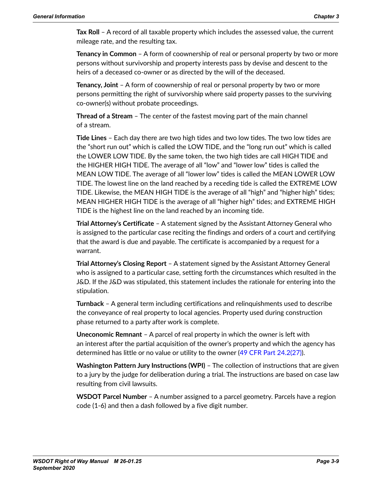**Tax Roll** – A record of all taxable property which includes the assessed value, the current mileage rate, and the resulting tax.

**Tenancy in Common** – A form of coownership of real or personal property by two or more persons without survivorship and property interests pass by devise and descent to the heirs of a deceased co-owner or as directed by the will of the deceased.

**Tenancy, Joint** – A form of coownership of real or personal property by two or more persons permitting the right of survivorship where said property passes to the surviving co-owner(s) without probate proceedings.

**Thread of a Stream** – The center of the fastest moving part of the main channel of a stream.

**Tide Lines** – Each day there are two high tides and two low tides. The two low tides are the "short run out" which is called the LOW TIDE, and the "long run out" which is called the LOWER LOW TIDE. By the same token, the two high tides are call HIGH TIDE and the HIGHER HIGH TIDE. The average of all "low" and "lower low" tides is called the MEAN LOW TIDE. The average of all "lower low" tides is called the MEAN LOWER LOW TIDE. The lowest line on the land reached by a receding tide is called the EXTREME LOW TIDE. Likewise, the MEAN HIGH TIDE is the average of all "high" and "higher high" tides; MEAN HIGHER HIGH TIDE is the average of all "higher high" tides; and EXTREME HIGH TIDE is the highest line on the land reached by an incoming tide.

**Trial Attorney's Certificate** – A statement signed by the Assistant Attorney General who is assigned to the particular case reciting the findings and orders of a court and certifying that the award is due and payable. The certificate is accompanied by a request for a warrant.

**Trial Attorney's Closing Report** – A statement signed by the Assistant Attorney General who is assigned to a particular case, setting forth the circumstances which resulted in the J&D. If the J&D was stipulated, this statement includes the rationale for entering into the stipulation.

**Turnback** – A general term including certifications and relinquishments used to describe the conveyance of real property to local agencies. Property used during construction phase returned to a party after work is complete.

**Uneconomic Remnant** – A parcel of real property in which the owner is left with an interest after the partial acquisition of the owner's property and which the agency has determined has little or no value or utility to the owner (49 CFR Part [24.2\(27\)](http://frwebgate.access.gpo.gov/cgi-bin/get-cfr.cgi?TITLE=49&PART=24&SECTION=2&TYPE=PDF)).

**Washington Pattern Jury Instructions (WPI)** – The collection of instructions that are given to a jury by the judge for deliberation during a trial. The instructions are based on case law resulting from civil lawsuits.

**WSDOT Parcel Number** – A number assigned to a parcel geometry. Parcels have a region code (1-6) and then a dash followed by a five digit number.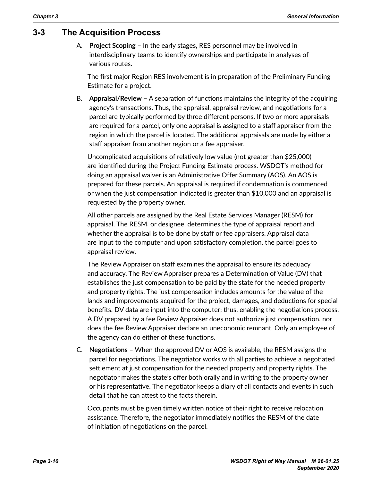## **3-3 The Acquisition Process**

A. **Project Scoping** – In the early stages, RES personnel may be involved in interdisciplinary teams to identify ownerships and participate in analyses of various routes.

The first major Region RES involvement is in preparation of the Preliminary Funding Estimate for a project.

B. **Appraisal/Review** – A separation of functions maintains the integrity of the acquiring agency's transactions. Thus, the appraisal, appraisal review, and negotiations for a parcel are typically performed by three different persons. If two or more appraisals are required for a parcel, only one appraisal is assigned to a staff appraiser from the region in which the parcel is located. The additional appraisals are made by either a staff appraiser from another region or a fee appraiser.

Uncomplicated acquisitions of relatively low value (not greater than \$25,000) are identified during the Project Funding Estimate process. WSDOT's method for doing an appraisal waiver is an Administrative Offer Summary (AOS). An AOS is prepared for these parcels. An appraisal is required if condemnation is commenced or when the just compensation indicated is greater than \$10,000 and an appraisal is requested by the property owner.

All other parcels are assigned by the Real Estate Services Manager (RESM) for appraisal. The RESM, or designee, determines the type of appraisal report and whether the appraisal is to be done by staff or fee appraisers. Appraisal data are input to the computer and upon satisfactory completion, the parcel goes to appraisal review.

The Review Appraiser on staff examines the appraisal to ensure its adequacy and accuracy. The Review Appraiser prepares a Determination of Value (DV) that establishes the just compensation to be paid by the state for the needed property and property rights. The just compensation includes amounts for the value of the lands and improvements acquired for the project, damages, and deductions for special benefits. DV data are input into the computer; thus, enabling the negotiations process. A DV prepared by a fee Review Appraiser does not authorize just compensation, nor does the fee Review Appraiser declare an uneconomic remnant. Only an employee of the agency can do either of these functions.

C. **Negotiations** – When the approved DV or AOS is available, the RESM assigns the parcel for negotiations. The negotiator works with all parties to achieve a negotiated settlement at just compensation for the needed property and property rights. The negotiator makes the state's offer both orally and in writing to the property owner or his representative. The negotiator keeps a diary of all contacts and events in such detail that he can attest to the facts therein.

Occupants must be given timely written notice of their right to receive relocation assistance. Therefore, the negotiator immediately notifies the RESM of the date of initiation of negotiations on the parcel.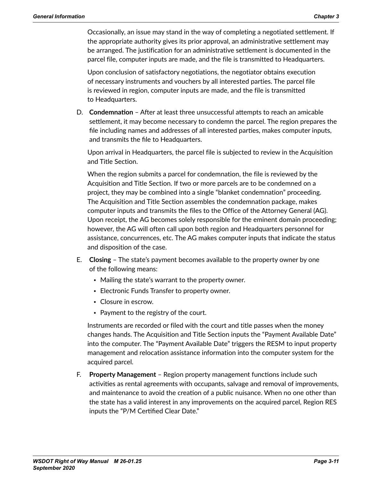Occasionally, an issue may stand in the way of completing a negotiated settlement. If the appropriate authority gives its prior approval, an administrative settlement may be arranged. The justification for an administrative settlement is documented in the parcel file, computer inputs are made, and the file is transmitted to Headquarters.

Upon conclusion of satisfactory negotiations, the negotiator obtains execution of necessary instruments and vouchers by all interested parties. The parcel file is reviewed in region, computer inputs are made, and the file is transmitted to Headquarters.

D. **Condemnation** – After at least three unsuccessful attempts to reach an amicable settlement, it may become necessary to condemn the parcel. The region prepares the file including names and addresses of all interested parties, makes computer inputs, and transmits the file to Headquarters.

Upon arrival in Headquarters, the parcel file is subjected to review in the Acquisition and Title Section.

When the region submits a parcel for condemnation, the file is reviewed by the Acquisition and Title Section. If two or more parcels are to be condemned on a project, they may be combined into a single "blanket condemnation" proceeding. The Acquisition and Title Section assembles the condemnation package, makes computer inputs and transmits the files to the Office of the Attorney General (AG). Upon receipt, the AG becomes solely responsible for the eminent domain proceeding; however, the AG will often call upon both region and Headquarters personnel for assistance, concurrences, etc. The AG makes computer inputs that indicate the status and disposition of the case.

- E. **Closing** The state's payment becomes available to the property owner by one of the following means:
	- Mailing the state's warrant to the property owner.
	- Electronic Funds Transfer to property owner.
	- Closure in escrow.
	- Payment to the registry of the court.

Instruments are recorded or filed with the court and title passes when the money changes hands. The Acquisition and Title Section inputs the "Payment Available Date" into the computer. The "Payment Available Date" triggers the RESM to input property management and relocation assistance information into the computer system for the acquired parcel.

F. **Property Management** – Region property management functions include such activities as rental agreements with occupants, salvage and removal of improvements, and maintenance to avoid the creation of a public nuisance. When no one other than the state has a valid interest in any improvements on the acquired parcel, Region RES inputs the "P/M Certified Clear Date."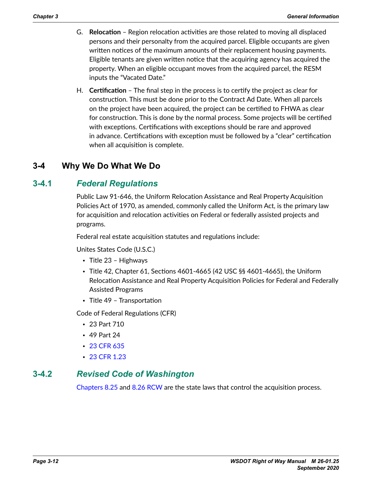- G. **Relocation** Region relocation activities are those related to moving all displaced persons and their personalty from the acquired parcel. Eligible occupants are given written notices of the maximum amounts of their replacement housing payments. Eligible tenants are given written notice that the acquiring agency has acquired the property. When an eligible occupant moves from the acquired parcel, the RESM inputs the "Vacated Date."
- H. **Certification** The final step in the process is to certify the project as clear for construction. This must be done prior to the Contract Ad Date. When all parcels on the project have been acquired, the project can be certified to FHWA as clear for construction. This is done by the normal process. Some projects will be certified with exceptions. Certifications with exceptions should be rare and approved in advance. Certifications with exception must be followed by a "clear" certification when all acquisition is complete.

## **3-4 Why We Do What We Do**

## **3-4.1** *Federal Regulations*

Public Law 91-646, the Uniform Relocation Assistance and Real Property Acquisition Policies Act of 1970, as amended, commonly called the Uniform Act, is the primary law for acquisition and relocation activities on Federal or federally assisted projects and programs.

Federal real estate acquisition statutes and regulations include:

Unites States Code (U.S.C.)

- Title 23 Highways
- Title 42, Chapter 61, Sections 4601-4665 (42 USC §§ 4601-4665), the Uniform Relocation Assistance and Real Property Acquisition Policies for Federal and Federally Assisted Programs
- Title 49 Transportation

Code of Federal Regulations (CFR)

- 23 Part 710
- 49 Part 24
- 23 [CFR](https://www.ecfr.gov/cgi-bin/text-idx?SID=152f21c8713f4b651841d2beae29b57a&mc=true&node=pt23.1.635&rgn=div5) 635
- 23 CFR [1.23](http://www.ecfr.gov/cgi-bin/text-idx?SID=63c7b2ff01586b46b1ecd50f15eccb1c&mc=true&node=se23.1.1_123&rgn=div8)

### **3-4.2** *Revised Code of Washington*

[Chapters](http://apps.leg.wa.gov/RCW/default.aspx?cite=8.25) 8.25 and 8.26 [RCW](http://apps.leg.wa.gov/RCW/default.aspx?cite=8.26) are the state laws that control the acquisition process.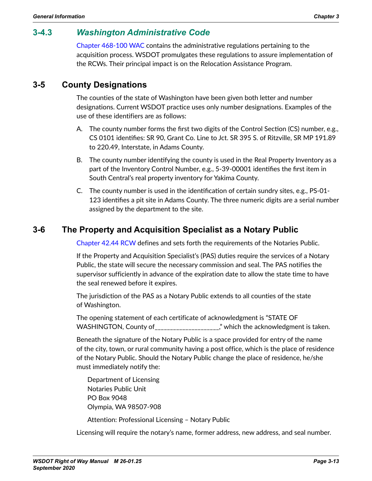# **3-4.3** *Washington Administrative Code*

Chapter [468-100](http://apps.leg.wa.gov/WAC/default.aspx?cite=468-100) WAC contains the administrative regulations pertaining to the acquisition process. WSDOT promulgates these regulations to assure implementation of the RCWs. Their principal impact is on the Relocation Assistance Program.

## **3-5 County Designations**

The counties of the state of Washington have been given both letter and number designations. Current WSDOT practice uses only number designations. Examples of the use of these identifiers are as follows:

- A. The county number forms the first two digits of the Control Section (CS) number, e.g., CS 0101 identifies: SR 90, Grant Co. Line to Jct. SR 395 S. of Ritzville, SR MP 191.89 to 220.49, Interstate, in Adams County.
- B. The county number identifying the county is used in the Real Property Inventory as a part of the Inventory Control Number, e.g., 5-39-00001 identifies the first item in South Central's real property inventory for Yakima County.
- C. The county number is used in the identification of certain sundry sites, e.g., PS-01- 123 identifies a pit site in Adams County. The three numeric digits are a serial number assigned by the department to the site.

## **3-6 The Property and Acquisition Specialist as a Notary Public**

[Chapter](http://apps.leg.wa.gov/RCW/default.aspx?cite=42.44) 42.44 RCW defines and sets forth the requirements of the Notaries Public.

If the Property and Acquisition Specialist's (PAS) duties require the services of a Notary Public, the state will secure the necessary commission and seal. The PAS notifies the supervisor sufficiently in advance of the expiration date to allow the state time to have the seal renewed before it expires.

The jurisdiction of the PAS as a Notary Public extends to all counties of the state of Washington.

The opening statement of each certificate of acknowledgment is "STATE OF WASHINGTON, County of \_\_\_\_\_\_\_\_\_\_\_\_\_\_\_\_\_\_\_\_\_," which the acknowledgment is taken.

Beneath the signature of the Notary Public is a space provided for entry of the name of the city, town, or rural community having a post office, which is the place of residence of the Notary Public. Should the Notary Public change the place of residence, he/she must immediately notify the:

Department of Licensing Notaries Public Unit PO Box 9048 Olympia, WA 98507-908

Attention: Professional Licensing – Notary Public

Licensing will require the notary's name, former address, new address, and seal number.